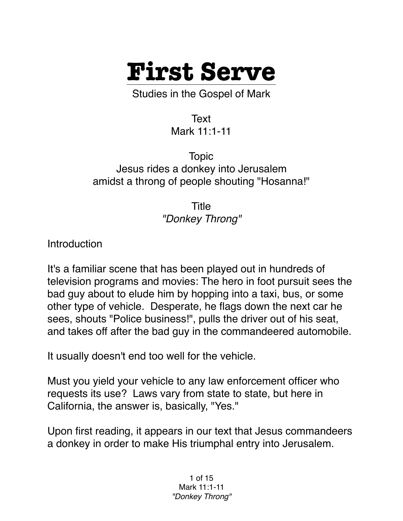

Studies in the Gospel of Mark

Text Mark 11:1-11

Topic Jesus rides a donkey into Jerusalem amidst a throng of people shouting "Hosanna!"

> Title *"Donkey Throng"*

**Introduction** 

It's a familiar scene that has been played out in hundreds of television programs and movies: The hero in foot pursuit sees the bad guy about to elude him by hopping into a taxi, bus, or some other type of vehicle. Desperate, he flags down the next car he sees, shouts "Police business!", pulls the driver out of his seat, and takes off after the bad guy in the commandeered automobile.

It usually doesn't end too well for the vehicle.

Must you yield your vehicle to any law enforcement officer who requests its use? Laws vary from state to state, but here in California, the answer is, basically, "Yes."

Upon first reading, it appears in our text that Jesus commandeers a donkey in order to make His triumphal entry into Jerusalem.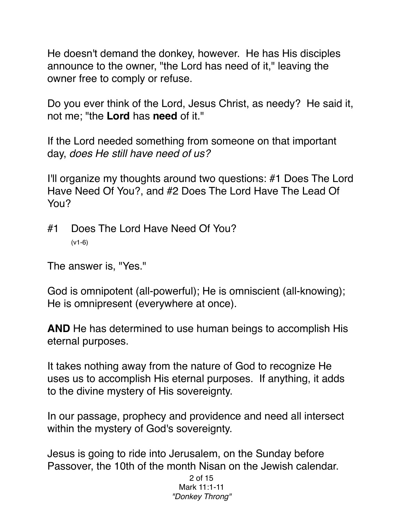He doesn't demand the donkey, however. He has His disciples announce to the owner, "the Lord has need of it," leaving the owner free to comply or refuse.

Do you ever think of the Lord, Jesus Christ, as needy? He said it, not me; "the **Lord** has **need** of it."

If the Lord needed something from someone on that important day, *does He still have need of us?*

I'll organize my thoughts around two questions: #1 Does The Lord Have Need Of You?, and #2 Does The Lord Have The Lead Of You?

#1 Does The Lord Have Need Of You? (v1-6)

The answer is, "Yes."

God is omnipotent (all-powerful); He is omniscient (all-knowing); He is omnipresent (everywhere at once).

**AND** He has determined to use human beings to accomplish His eternal purposes.

It takes nothing away from the nature of God to recognize He uses us to accomplish His eternal purposes. If anything, it adds to the divine mystery of His sovereignty.

In our passage, prophecy and providence and need all intersect within the mystery of God's sovereignty.

Jesus is going to ride into Jerusalem, on the Sunday before Passover, the 10th of the month Nisan on the Jewish calendar.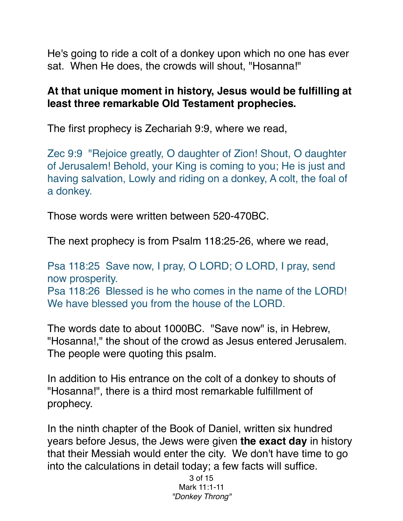He's going to ride a colt of a donkey upon which no one has ever sat. When He does, the crowds will shout, "Hosanna!"

## **At that unique moment in history, Jesus would be fulfilling at least three remarkable Old Testament prophecies.**

The first prophecy is Zechariah 9:9, where we read,

Zec 9:9 "Rejoice greatly, O daughter of Zion! Shout, O daughter of Jerusalem! Behold, your King is coming to you; He is just and having salvation, Lowly and riding on a donkey, A colt, the foal of a donkey.

Those words were written between 520-470BC.

The next prophecy is from Psalm 118:25-26, where we read,

Psa 118:25 Save now, I pray, O LORD; O LORD, I pray, send now prosperity. Psa 118:26 Blessed is he who comes in the name of the LORD! We have blessed you from the house of the LORD.

The words date to about 1000BC. "Save now" is, in Hebrew, "Hosanna!," the shout of the crowd as Jesus entered Jerusalem. The people were quoting this psalm.

In addition to His entrance on the colt of a donkey to shouts of "Hosanna!", there is a third most remarkable fulfillment of prophecy.

In the ninth chapter of the Book of Daniel, written six hundred years before Jesus, the Jews were given **the exact day** in history that their Messiah would enter the city. We don't have time to go into the calculations in detail today; a few facts will suffice.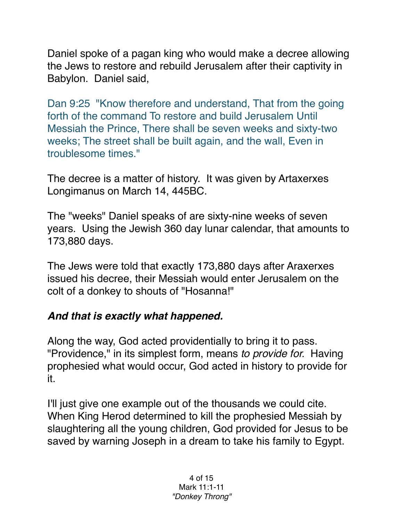Daniel spoke of a pagan king who would make a decree allowing the Jews to restore and rebuild Jerusalem after their captivity in Babylon. Daniel said,

Dan 9:25 "Know therefore and understand, That from the going forth of the command To restore and build Jerusalem Until Messiah the Prince, There shall be seven weeks and sixty-two weeks; The street shall be built again, and the wall, Even in troublesome times."

The decree is a matter of history. It was given by Artaxerxes Longimanus on March 14, 445BC.

The "weeks" Daniel speaks of are sixty-nine weeks of seven years. Using the Jewish 360 day lunar calendar, that amounts to 173,880 days.

The Jews were told that exactly 173,880 days after Araxerxes issued his decree, their Messiah would enter Jerusalem on the colt of a donkey to shouts of "Hosanna!"

## *And that is exactly what happened.*

Along the way, God acted providentially to bring it to pass. "Providence," in its simplest form, means *to provide for.* Having prophesied what would occur, God acted in history to provide for it.

I'll just give one example out of the thousands we could cite. When King Herod determined to kill the prophesied Messiah by slaughtering all the young children, God provided for Jesus to be saved by warning Joseph in a dream to take his family to Egypt.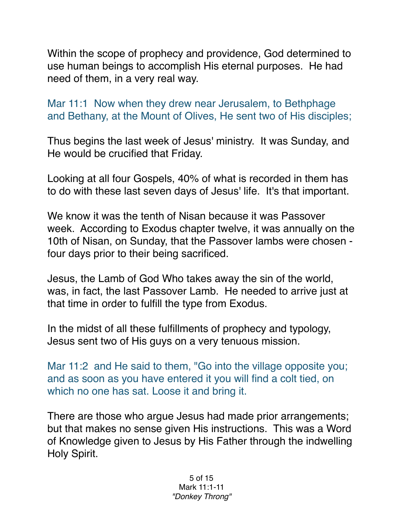Within the scope of prophecy and providence, God determined to use human beings to accomplish His eternal purposes. He had need of them, in a very real way.

Mar 11:1 Now when they drew near Jerusalem, to Bethphage and Bethany, at the Mount of Olives, He sent two of His disciples;

Thus begins the last week of Jesus' ministry. It was Sunday, and He would be crucified that Friday.

Looking at all four Gospels, 40% of what is recorded in them has to do with these last seven days of Jesus' life. It's that important.

We know it was the tenth of Nisan because it was Passover week. According to Exodus chapter twelve, it was annually on the 10th of Nisan, on Sunday, that the Passover lambs were chosen four days prior to their being sacrificed.

Jesus, the Lamb of God Who takes away the sin of the world, was, in fact, the last Passover Lamb. He needed to arrive just at that time in order to fulfill the type from Exodus.

In the midst of all these fulfillments of prophecy and typology, Jesus sent two of His guys on a very tenuous mission.

Mar 11:2 and He said to them, "Go into the village opposite you; and as soon as you have entered it you will find a colt tied, on which no one has sat. Loose it and bring it.

There are those who argue Jesus had made prior arrangements; but that makes no sense given His instructions. This was a Word of Knowledge given to Jesus by His Father through the indwelling Holy Spirit.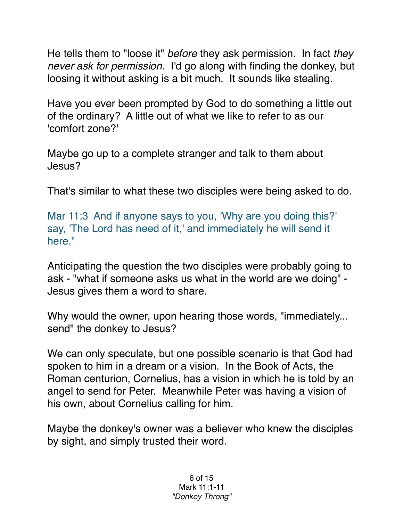He tells them to "loose it" *before* they ask permission. In fact *they never ask for permission.* I'd go along with finding the donkey, but loosing it without asking is a bit much. It sounds like stealing.

Have you ever been prompted by God to do something a little out of the ordinary? A little out of what we like to refer to as our 'comfort zone?'

Maybe go up to a complete stranger and talk to them about Jesus?

That's similar to what these two disciples were being asked to do.

Mar 11:3 And if anyone says to you, 'Why are you doing this?' say, 'The Lord has need of it,' and immediately he will send it here."

Anticipating the question the two disciples were probably going to ask - "what if someone asks us what in the world are we doing" - Jesus gives them a word to share.

Why would the owner, upon hearing those words, "immediately... send" the donkey to Jesus?

We can only speculate, but one possible scenario is that God had spoken to him in a dream or a vision. In the Book of Acts, the Roman centurion, Cornelius, has a vision in which he is told by an angel to send for Peter. Meanwhile Peter was having a vision of his own, about Cornelius calling for him.

Maybe the donkey's owner was a believer who knew the disciples by sight, and simply trusted their word.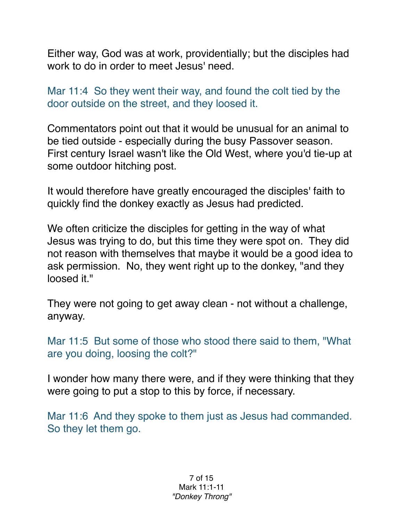Either way, God was at work, providentially; but the disciples had work to do in order to meet Jesus' need.

Mar 11:4 So they went their way, and found the colt tied by the door outside on the street, and they loosed it.

Commentators point out that it would be unusual for an animal to be tied outside - especially during the busy Passover season. First century Israel wasn't like the Old West, where you'd tie-up at some outdoor hitching post.

It would therefore have greatly encouraged the disciples' faith to quickly find the donkey exactly as Jesus had predicted.

We often criticize the disciples for getting in the way of what Jesus was trying to do, but this time they were spot on. They did not reason with themselves that maybe it would be a good idea to ask permission. No, they went right up to the donkey, "and they loosed it."

They were not going to get away clean - not without a challenge, anyway.

Mar 11:5 But some of those who stood there said to them, "What are you doing, loosing the colt?"

I wonder how many there were, and if they were thinking that they were going to put a stop to this by force, if necessary.

Mar 11:6 And they spoke to them just as Jesus had commanded. So they let them go.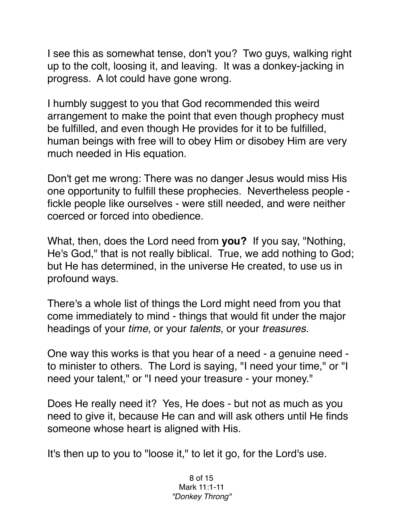I see this as somewhat tense, don't you? Two guys, walking right up to the colt, loosing it, and leaving. It was a donkey-jacking in progress. A lot could have gone wrong.

I humbly suggest to you that God recommended this weird arrangement to make the point that even though prophecy must be fulfilled, and even though He provides for it to be fulfilled, human beings with free will to obey Him or disobey Him are very much needed in His equation.

Don't get me wrong: There was no danger Jesus would miss His one opportunity to fulfill these prophecies. Nevertheless people fickle people like ourselves - were still needed, and were neither coerced or forced into obedience.

What, then, does the Lord need from **you?** If you say, "Nothing, He's God," that is not really biblical. True, we add nothing to God; but He has determined, in the universe He created, to use us in profound ways.

There's a whole list of things the Lord might need from you that come immediately to mind - things that would fit under the major headings of your *time*, or your *talents*, or your *treasures*.

One way this works is that you hear of a need - a genuine need to minister to others. The Lord is saying, "I need your time," or "I need your talent," or "I need your treasure - your money."

Does He really need it? Yes, He does - but not as much as you need to give it, because He can and will ask others until He finds someone whose heart is aligned with His.

It's then up to you to "loose it," to let it go, for the Lord's use.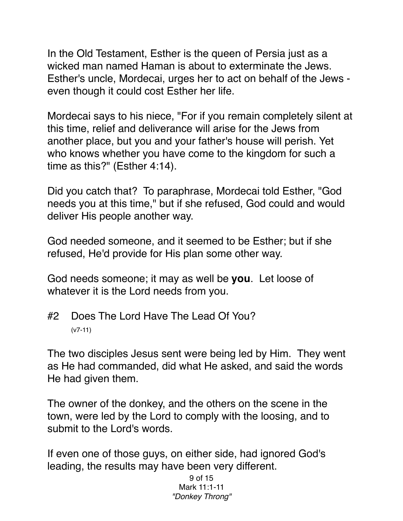In the Old Testament, Esther is the queen of Persia just as a wicked man named Haman is about to exterminate the Jews. Esther's uncle, Mordecai, urges her to act on behalf of the Jews even though it could cost Esther her life.

Mordecai says to his niece, "For if you remain completely silent at this time, relief and deliverance will arise for the Jews from another place, but you and your father's house will perish. Yet who knows whether you have come to the kingdom for such a time as this?" (Esther 4:14).

Did you catch that? To paraphrase, Mordecai told Esther, "God needs you at this time," but if she refused, God could and would deliver His people another way.

God needed someone, and it seemed to be Esther; but if she refused, He'd provide for His plan some other way.

God needs someone; it may as well be **you**. Let loose of whatever it is the Lord needs from you.

#2 Does The Lord Have The Lead Of You? (v7-11)

The two disciples Jesus sent were being led by Him. They went as He had commanded, did what He asked, and said the words He had given them.

The owner of the donkey, and the others on the scene in the town, were led by the Lord to comply with the loosing, and to submit to the Lord's words.

If even one of those guys, on either side, had ignored God's leading, the results may have been very different.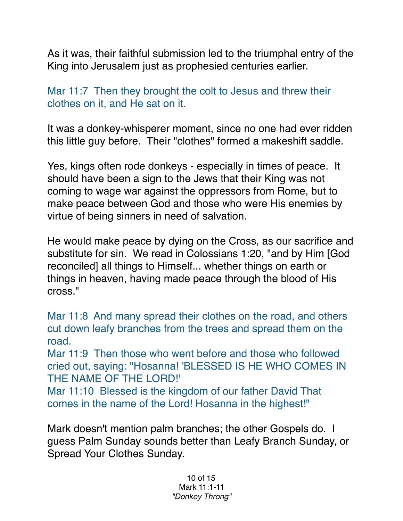As it was, their faithful submission led to the triumphal entry of the King into Jerusalem just as prophesied centuries earlier.

Mar 11:7 Then they brought the colt to Jesus and threw their clothes on it, and He sat on it.

It was a donkey-whisperer moment, since no one had ever ridden this little guy before. Their "clothes" formed a makeshift saddle.

Yes, kings often rode donkeys - especially in times of peace. It should have been a sign to the Jews that their King was not coming to wage war against the oppressors from Rome, but to make peace between God and those who were His enemies by virtue of being sinners in need of salvation.

He would make peace by dying on the Cross, as our sacrifice and substitute for sin. We read in Colossians 1:20, "and by Him [God reconciled] all things to Himself... whether things on earth or things in heaven, having made peace through the blood of His cross."

Mar 11:8 And many spread their clothes on the road, and others cut down leafy branches from the trees and spread them on the road.

Mar 11:9 Then those who went before and those who followed cried out, saying: "Hosanna! 'BLESSED IS HE WHO COMES IN THE NAME OF THE LORD!'

Mar 11:10 Blessed is the kingdom of our father David That comes in the name of the Lord! Hosanna in the highest!"

Mark doesn't mention palm branches; the other Gospels do. I guess Palm Sunday sounds better than Leafy Branch Sunday, or Spread Your Clothes Sunday.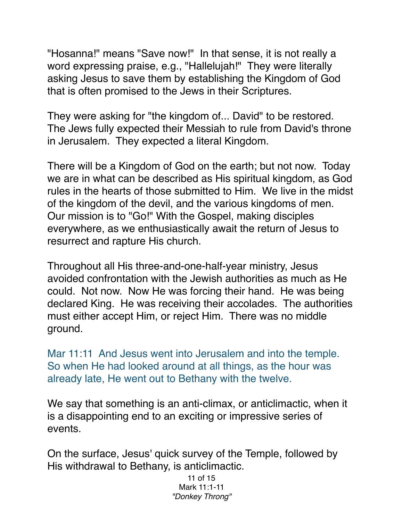"Hosanna!" means "Save now!" In that sense, it is not really a word expressing praise, e.g., "Hallelujah!" They were literally asking Jesus to save them by establishing the Kingdom of God that is often promised to the Jews in their Scriptures.

They were asking for "the kingdom of... David" to be restored. The Jews fully expected their Messiah to rule from David's throne in Jerusalem. They expected a literal Kingdom.

There will be a Kingdom of God on the earth; but not now. Today we are in what can be described as His spiritual kingdom, as God rules in the hearts of those submitted to Him. We live in the midst of the kingdom of the devil, and the various kingdoms of men. Our mission is to "Go!" With the Gospel, making disciples everywhere, as we enthusiastically await the return of Jesus to resurrect and rapture His church.

Throughout all His three-and-one-half-year ministry, Jesus avoided confrontation with the Jewish authorities as much as He could. Not now. Now He was forcing their hand. He was being declared King. He was receiving their accolades. The authorities must either accept Him, or reject Him. There was no middle ground.

Mar 11:11 And Jesus went into Jerusalem and into the temple. So when He had looked around at all things, as the hour was already late, He went out to Bethany with the twelve.

We say that something is an anti-climax, or anticlimactic, when it is a disappointing end to an exciting or impressive series of events.

On the surface, Jesus' quick survey of the Temple, followed by His withdrawal to Bethany, is anticlimactic.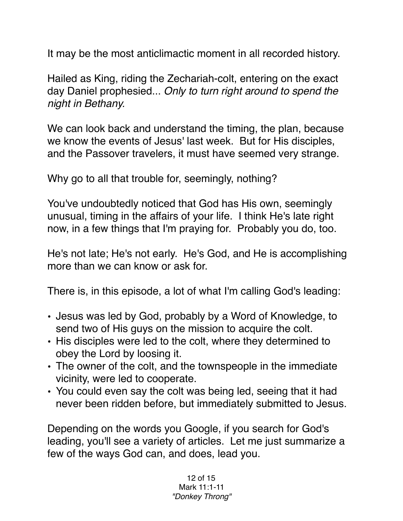It may be the most anticlimactic moment in all recorded history.

Hailed as King, riding the Zechariah-colt, entering on the exact day Daniel prophesied... *Only to turn right around to spend the night in Bethany.*

We can look back and understand the timing, the plan, because we know the events of Jesus' last week. But for His disciples, and the Passover travelers, it must have seemed very strange.

Why go to all that trouble for, seemingly, nothing?

You've undoubtedly noticed that God has His own, seemingly unusual, timing in the affairs of your life. I think He's late right now, in a few things that I'm praying for. Probably you do, too.

He's not late; He's not early. He's God, and He is accomplishing more than we can know or ask for.

There is, in this episode, a lot of what I'm calling God's leading:

- Jesus was led by God, probably by a Word of Knowledge, to send two of His guys on the mission to acquire the colt.
- His disciples were led to the colt, where they determined to obey the Lord by loosing it.
- The owner of the colt, and the townspeople in the immediate vicinity, were led to cooperate.
- You could even say the colt was being led, seeing that it had never been ridden before, but immediately submitted to Jesus.

Depending on the words you Google, if you search for God's leading, you'll see a variety of articles. Let me just summarize a few of the ways God can, and does, lead you.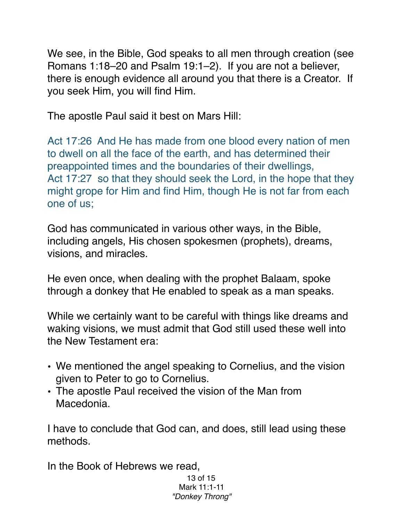We see, in the Bible, God speaks to all men through creation (see Romans 1:18–20 and Psalm 19:1–2). If you are not a believer, there is enough evidence all around you that there is a Creator. If you seek Him, you will find Him.

The apostle Paul said it best on Mars Hill:

Act 17:26 And He has made from one blood every nation of men to dwell on all the face of the earth, and has determined their preappointed times and the boundaries of their dwellings, Act 17:27 so that they should seek the Lord, in the hope that they might grope for Him and find Him, though He is not far from each one of us;

God has communicated in various other ways, in the Bible, including angels, His chosen spokesmen (prophets), dreams, visions, and miracles.

He even once, when dealing with the prophet Balaam, spoke through a donkey that He enabled to speak as a man speaks.

While we certainly want to be careful with things like dreams and waking visions, we must admit that God still used these well into the New Testament era:

- We mentioned the angel speaking to Cornelius, and the vision given to Peter to go to Cornelius.
- The apostle Paul received the vision of the Man from Macedonia.

I have to conclude that God can, and does, still lead using these methods.

In the Book of Hebrews we read,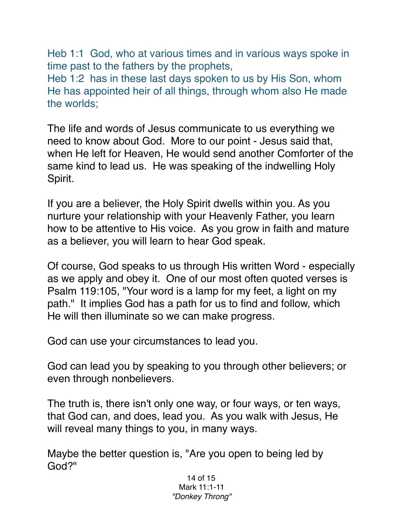Heb 1:1 God, who at various times and in various ways spoke in time past to the fathers by the prophets, Heb 1:2 has in these last days spoken to us by His Son, whom He has appointed heir of all things, through whom also He made the worlds;

The life and words of Jesus communicate to us everything we need to know about God. More to our point - Jesus said that, when He left for Heaven, He would send another Comforter of the same kind to lead us. He was speaking of the indwelling Holy Spirit.

If you are a believer, the Holy Spirit dwells within you. As you nurture your relationship with your Heavenly Father, you learn how to be attentive to His voice. As you grow in faith and mature as a believer, you will learn to hear God speak.

Of course, God speaks to us through His written Word - especially as we apply and obey it. One of our most often quoted verses is Psalm 119:105, "Your word is a lamp for my feet, a light on my path." It implies God has a path for us to find and follow, which He will then illuminate so we can make progress.

God can use your circumstances to lead you.

God can lead you by speaking to you through other believers; or even through nonbelievers.

The truth is, there isn't only one way, or four ways, or ten ways, that God can, and does, lead you. As you walk with Jesus, He will reveal many things to you, in many ways.

Maybe the better question is, "Are you open to being led by God?"